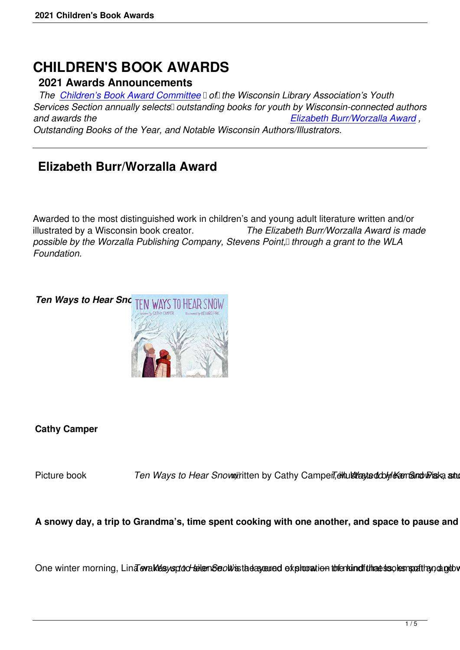# **CHILDREN'S BOOK AWARDS**

#### **2021 Awards Announcements**

*The Children's Book Award Committee Dofil the Wisconsin Library Association's Youth* Services Section annually selects<sup>1</sup> outstanding books for youth by Wisconsin-connected authors *and awards the Elizabeth Burr/Worzalla Award , Outst[anding Books of the Year, and Nota](/childrens-book-awards-committee)ble Wisconsin Authors/Illustrators.*

## **Elizabeth Burr/Worzalla Award**

Awarded to the most distinguished work in children's and young adult literature written and/or illustrated by a Wisconsin book creator. *The Elizabeth Burr/Worzalla Award is made* possible by the Worzalla Publishing Company, Stevens Point,<sup>[]</sup> through a grant to the WLA *Foundation.*



#### **Cathy Camper**

Picture book Ten Ways to Hear Snow, Tritten by Cathy Camper, ethus transition of the studing

A snowy day, a trip to Grandma's, time spent cooking with one another, and space to pause and dis

One winter morning, Lind evaklesysptod-telemSeolivis tades eurod exploration to fenkind fulhaes soles mathands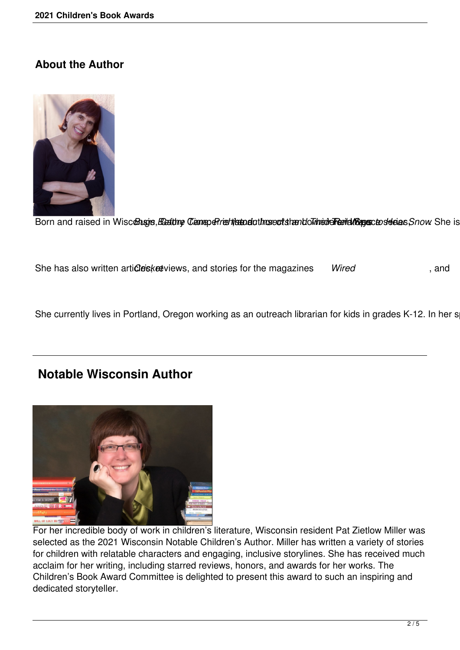#### **About the Author**



Born and raised in Wisconsign, Beating Cameperinstrict introdutions existential independence of deas Snow She is

She has also written articles keeviews, and stories for the magazines Wired states and

She currently lives in Portland, Oregon working as an outreach librarian for kids in grades K-12. In her s

### **Notable Wisconsin Author**



For her incredible body of work in children's literature, Wisconsin resident Pat Zietlow Miller was selected as the 2021 Wisconsin Notable Children's Author. Miller has written a variety of stories for children with relatable characters and engaging, inclusive storylines. She has received much acclaim for her writing, including starred reviews, honors, and awards for her works. The Children's Book Award Committee is delighted to present this award to such an inspiring and dedicated storyteller.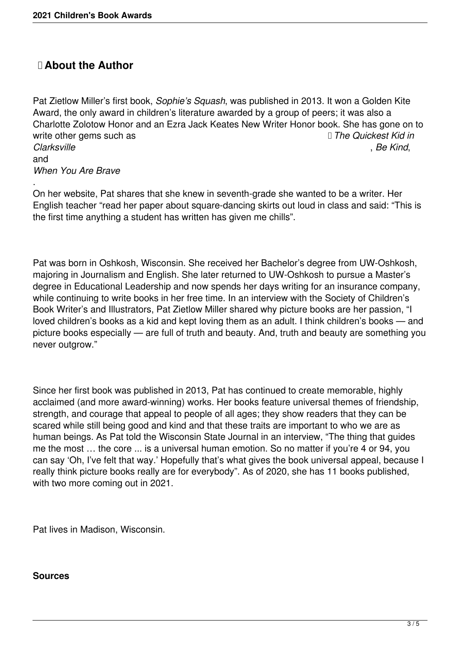### **About the Author**

Pat Zietlow Miller's first book, *Sophie's Squash*, was published in 2013. It won a Golden Kite Award, the only award in children's literature awarded by a group of peers; it was also a Charlotte Zolotow Honor and an Ezra Jack Keates New Writer Honor book. She has gone on to write other gems such as *We are a The Quickest Kid in Clarksville* , *Be Kind*, and

*When You Are Brave*

. On her website, Pat shares that she knew in seventh-grade she wanted to be a writer. Her English teacher "read her paper about square-dancing skirts out loud in class and said: "This is the first time anything a student has written has given me chills".

Pat was born in Oshkosh, Wisconsin. She received her Bachelor's degree from UW-Oshkosh, majoring in Journalism and English. She later returned to UW-Oshkosh to pursue a Master's degree in Educational Leadership and now spends her days writing for an insurance company, while continuing to write books in her free time. In an interview with the Society of Children's Book Writer's and Illustrators, Pat Zietlow Miller shared why picture books are her passion, "I loved children's books as a kid and kept loving them as an adult. I think children's books — and picture books especially — are full of truth and beauty. And, truth and beauty are something you never outgrow."

Since her first book was published in 2013, Pat has continued to create memorable, highly acclaimed (and more award-winning) works. Her books feature universal themes of friendship, strength, and courage that appeal to people of all ages; they show readers that they can be scared while still being good and kind and that these traits are important to who we are as human beings. As Pat told the Wisconsin State Journal in an interview, "The thing that guides me the most … the core ... is a universal human emotion. So no matter if you're 4 or 94, you can say 'Oh, I've felt that way.' Hopefully that's what gives the book universal appeal, because I really think picture books really are for everybody". As of 2020, she has 11 books published, with two more coming out in 2021.

Pat lives in Madison, Wisconsin.

#### **Sources**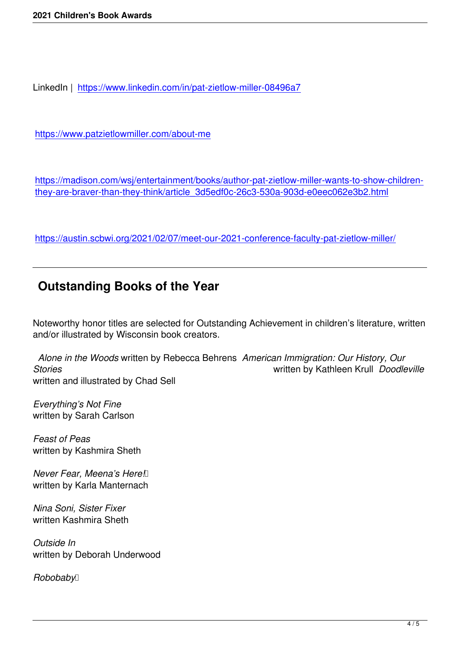LinkedIn | https://www.linkedin.com/in/pat-zietlow-miller-08496a7

https://ww[w.patzietlowmiller.com/about-me](https://www.linkedin.com/in/pat-zietlow-miller-08496a7)

[https://madison.com/wsj/entertainment/boo](https://www.patzietlowmiller.com/about-me)ks/author-pat-zietlow-miller-wants-to-show-childrenthey-are-braver-than-they-think/article\_3d5edf0c-26c3-530a-903d-e0eec062e3b2.html

[https://austin.scbwi.org/2021/02/07/meet-our-2021-conference-faculty-pat-zietlow-mille](https://madison.com/wsj/entertainment/books/author-pat-zietlow-miller-wants-to-show-children-they-are-braver-than-they-think/article_3d5edf0c-26c3-530a-903d-e0eec062e3b2.html)r/

## **[Outstanding Books of the Year](https://austin.scbwi.org/2021/02/07/meet-our-2021-conference-faculty-pat-zietlow-miller/)**

Noteworthy honor titles are selected for Outstanding Achievement in children's literature, written and/or illustrated by Wisconsin book creators.

 *Alone in the Woods* written by Rebecca Behrens *American Immigration: Our History, Our Stories* written by Kathleen Krull *Doodleville* written and illustrated by Chad Sell

*Everything's Not Fine* written by Sarah Carlson

*Feast of Peas* written by Kashmira Sheth

*Never Fear, Meena's Here!*  written by Karla Manternach

*Nina Soni, Sister Fixer* written Kashmira Sheth

*Outside In* written by Deborah Underwood

*Robobaby*